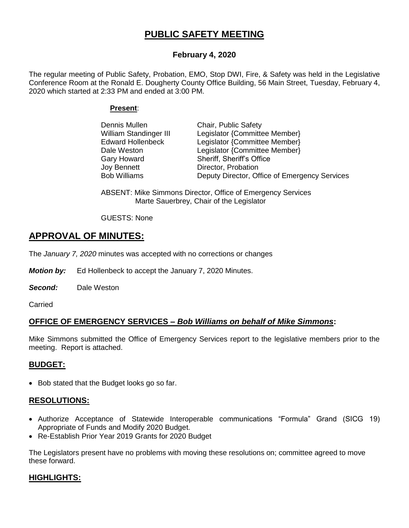# **PUBLIC SAFETY MEETING**

# **February 4, 2020**

The regular meeting of Public Safety, Probation, EMO, Stop DWI, Fire, & Safety was held in the Legislative Conference Room at the Ronald E. Dougherty County Office Building, 56 Main Street, Tuesday, February 4, 2020 which started at 2:33 PM and ended at 3:00 PM.

# **Present**:

| Chair, Public Safety                          |
|-----------------------------------------------|
| Legislator {Committee Member}                 |
| Legislator {Committee Member}                 |
| Legislator {Committee Member}                 |
| Sheriff, Sheriff's Office                     |
| Director, Probation                           |
| Deputy Director, Office of Emergency Services |
|                                               |

ABSENT: Mike Simmons Director, Office of Emergency Services Marte Sauerbrey, Chair of the Legislator

GUESTS: None

# **APPROVAL OF MINUTES:**

The *January 7, 2020* minutes was accepted with no corrections or changes

*Motion by:* Ed Hollenbeck to accept the January 7, 2020 Minutes.

*Second:* Dale Weston

**Carried** 

# **OFFICE OF EMERGENCY SERVICES –** *Bob Williams on behalf of Mike Simmons***:**

Mike Simmons submitted the Office of Emergency Services report to the legislative members prior to the meeting. Report is attached.

# **BUDGET:**

• Bob stated that the Budget looks go so far.

# **RESOLUTIONS:**

- Authorize Acceptance of Statewide Interoperable communications "Formula" Grand (SICG 19) Appropriate of Funds and Modify 2020 Budget.
- Re-Establish Prior Year 2019 Grants for 2020 Budget

The Legislators present have no problems with moving these resolutions on; committee agreed to move these forward.

# **HIGHLIGHTS:**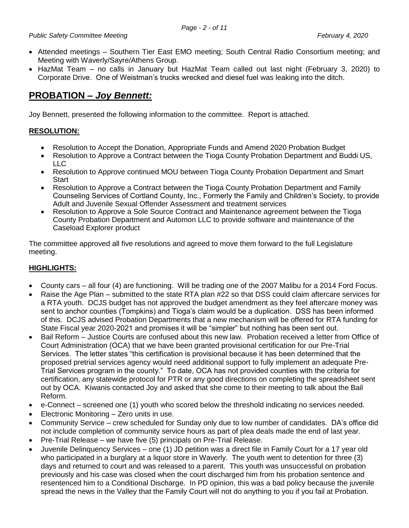- Attended meetings Southern Tier East EMO meeting; South Central Radio Consortium meeting; and Meeting with Waverly/Sayre/Athens Group.
- HazMat Team no calls in January but HazMat Team called out last night (February 3, 2020) to Corporate Drive. One of Weistman's trucks wrecked and diesel fuel was leaking into the ditch.

# **PROBATION –** *Joy Bennett:*

Joy Bennett, presented the following information to the committee. Report is attached.

# **RESOLUTION:**

- Resolution to Accept the Donation, Appropriate Funds and Amend 2020 Probation Budget
- Resolution to Approve a Contract between the Tioga County Probation Department and Buddi US, LLC
- Resolution to Approve continued MOU between Tioga County Probation Department and Smart **Start**
- Resolution to Approve a Contract between the Tioga County Probation Department and Family Counseling Services of Cortland County, Inc., Formerly the Family and Children's Society, to provide Adult and Juvenile Sexual Offender Assessment and treatment services
- Resolution to Approve a Sole Source Contract and Maintenance agreement between the Tioga County Probation Department and Automon LLC to provide software and maintenance of the Caseload Explorer product

The committee approved all five resolutions and agreed to move them forward to the full Legislature meeting.

# **HIGHLIGHTS:**

- County cars all four (4) are functioning. Will be trading one of the 2007 Malibu for a 2014 Ford Focus.
- Raise the Age Plan submitted to the state RTA plan #22 so that DSS could claim aftercare services for a RTA youth. DCJS budget has not approved the budget amendment as they feel aftercare money was sent to anchor counties (Tompkins) and Tioga's claim would be a duplication. DSS has been informed of this. DCJS advised Probation Departments that a new mechanism will be offered for RTA funding for State Fiscal year 2020-2021 and promises it will be "simpler" but nothing has been sent out.
- Bail Reform Justice Courts are confused about this new law. Probation received a letter from Office of Court Administration (OCA) that we have been granted provisional certification for our Pre-Trial Services. The letter states "this certification is provisional because it has been determined that the proposed pretrial services agency would need additional support to fully implement an adequate Pre-Trial Services program in the county." To date, OCA has not provided counties with the criteria for certification, any statewide protocol for PTR or any good directions on completing the spreadsheet sent out by OCA. Kiwanis contacted Joy and asked that she come to their meeting to talk about the Bail Reform.
- e-Connect screened one (1) youth who scored below the threshold indicating no services needed.
- Electronic Monitoring Zero units in use.
- Community Service crew scheduled for Sunday only due to low number of candidates. DA's office did not include completion of community service hours as part of plea deals made the end of last year.
- Pre-Trial Release we have five (5) principals on Pre-Trial Release.
- Juvenile Delinquency Services one (1) JD petition was a direct file in Family Court for a 17 year old who participated in a burglary at a liquor store in Waverly. The youth went to detention for three (3) days and returned to court and was released to a parent. This youth was unsuccessful on probation previously and his case was closed when the court discharged him from his probation sentence and resentenced him to a Conditional Discharge. In PD opinion, this was a bad policy because the juvenile spread the news in the Valley that the Family Court will not do anything to you if you fail at Probation.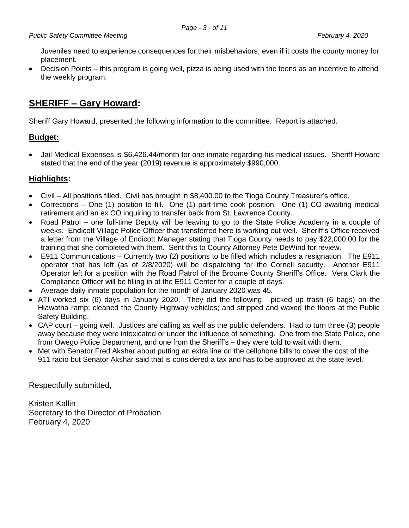Juveniles need to experience consequences for their misbehaviors, even if it costs the county money for placement.

 Decision Points – this program is going well, pizza is being used with the teens as an incentive to attend the weekly program.

# **SHERIFF – Gary Howard:**

Sheriff Gary Howard, presented the following information to the committee. Report is attached.

# **Budget:**

 Jail Medical Expenses is \$6,426.44/month for one inmate regarding his medical issues. Sheriff Howard stated that the end of the year (2019) revenue is approximately \$990,000.

# **Highlights:**

- Civil All positions filled. Civil has brought in \$8,400.00 to the Tioga County Treasurer's office.
- Corrections One (1) position to fill. One (1) part-time cook position. One (1) CO awaiting medical retirement and an ex CO inquiring to transfer back from St. Lawrence County.
- Road Patrol one full-time Deputy will be leaving to go to the State Police Academy in a couple of weeks. Endicott Village Police Officer that transferred here is working out well. Sheriff's Office received a letter from the Village of Endicott Manager stating that Tioga County needs to pay \$22,000.00 for the training that she completed with them. Sent this to County Attorney Pete DeWind for review.
- E911 Communications Currently two (2) positions to be filled which includes a resignation. The E911 operator that has left (as of 2/8/2020) will be dispatching for the Cornell security. Another E911 Operator left for a position with the Road Patrol of the Broome County Sheriff's Office. Vera Clark the Compliance Officer will be filling in at the E911 Center for a couple of days.
- Average daily inmate population for the month of January 2020 was 45.
- ATI worked six (6) days in January 2020. They did the following: picked up trash (6 bags) on the Hiawatha ramp; cleaned the County Highway vehicles; and stripped and waxed the floors at the Public Safety Building.
- CAP court going well. Justices are calling as well as the public defenders. Had to turn three (3) people away because they were intoxicated or under the influence of something. One from the State Police, one from Owego Police Department, and one from the Sheriff's – they were told to wait with them.
- Met with Senator Fred Akshar about putting an extra line on the cellphone bills to cover the cost of the 911 radio but Senator Akshar said that is considered a tax and has to be approved at the state level.

Respectfully submitted,

Kristen Kallin Secretary to the Director of Probation February 4, 2020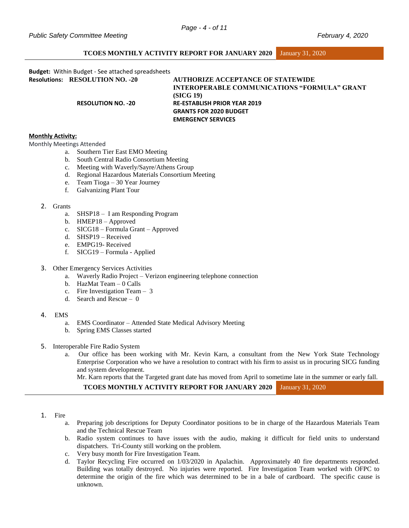# **TCOES MONTHLY ACTIVITY REPORT FOR JANUARY 2020** January 31, 2020

**Budget:** Within Budget - See attached spreadsheets

**Resolutions: RESOLUTION NO. -20 AUTHORIZE ACCEPTANCE OF STATEWIDE INTEROPERABLE COMMUNICATIONS "FORMULA" GRANT (SICG 19) RESOLUTION NO. -20 RE-ESTABLISH PRIOR YEAR 2019 GRANTS FOR 2020 BUDGET EMERGENCY SERVICES**

### **Monthly Activity:**

Monthly Meetings Attended

- a. Southern Tier East EMO Meeting
- b. South Central Radio Consortium Meeting
- c. Meeting with Waverly/Sayre/Athens Group
- d. Regional Hazardous Materials Consortium Meeting
- e. Team Tioga 30 Year Journey
- f. Galvanizing Plant Tour

#### 2. Grants

- a. SHSP18 I am Responding Program
- b. HMEP18 Approved
- c. SICG18 Formula Grant Approved
- d. SHSP19 Received
- e. EMPG19- Received
- f. SICG19 Formula Applied
- 3. Other Emergency Services Activities
	- a. Waverly Radio Project Verizon engineering telephone connection
	- b. HazMat Team 0 Calls
	- c. Fire Investigation Team 3
	- d. Search and Rescue 0

#### 4. EMS

- a. EMS Coordinator Attended State Medical Advisory Meeting
- b. Spring EMS Classes started

#### 5. Interoperable Fire Radio System

a. Our office has been working with Mr. Kevin Karn, a consultant from the New York State Technology Enterprise Corporation who we have a resolution to contract with his firm to assist us in procuring SICG funding and system development.

Mr. Karn reports that the Targeted grant date has moved from April to sometime late in the summer or early fall.

```
TCOES MONTHLY ACTIVITY REPORT FOR JANUARY 2020 January 31, 2020
```
## 1. Fire

- a. Preparing job descriptions for Deputy Coordinator positions to be in charge of the Hazardous Materials Team and the Technical Rescue Team
- b. Radio system continues to have issues with the audio, making it difficult for field units to understand dispatchers. Tri-County still working on the problem.
- c. Very busy month for Fire Investigation Team.
- d. Taylor Recycling Fire occurred on 1/03/2020 in Apalachin. Approximately 40 fire departments responded. Building was totally destroyed. No injuries were reported. Fire Investigation Team worked with OFPC to determine the origin of the fire which was determined to be in a bale of cardboard. The specific cause is unknown.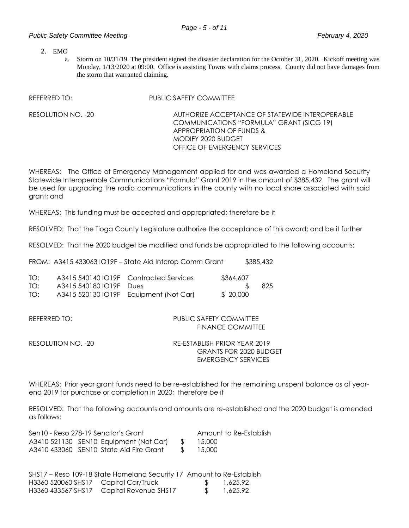# *Public Safety Committee Meeting February 4, 2020*

2. EMO

a. Storm on 10/31/19. The president signed the disaster declaration for the October 31, 2020. Kickoff meeting was Monday, 1/13/2020 at 09:00. Office is assisting Towns with claims process. County did not have damages from the storm that warranted claiming.

REFERRED TO: PUBLIC SAFETY COMMITTEE

RESOLUTION NO. -20 AUTHORIZE ACCEPTANCE OF STATEWIDE INTEROPERABLE COMMUNICATIONS "FORMULA" GRANT (SICG 19) APPROPRIATION OF FUNDS & MODIFY 2020 BUDGET OFFICE OF EMERGENCY SERVICES

WHEREAS: The Office of Emergency Management applied for and was awarded a Homeland Security Statewide Interoperable Communications "Formula" Grant 2019 in the amount of \$385,432. The grant will be used for upgrading the radio communications in the county with no local share associated with said grant; and

WHEREAS: This funding must be accepted and appropriated; therefore be it

RESOLVED: That the Tioga County Legislature authorize the acceptance of this award; and be it further

RESOLVED: That the 2020 budget be modified and funds be appropriated to the following accounts:

FROM: A3415 433063 IO19F – State Aid Interop Comm Grant \$385,432

| TO: |                         | A3415 540140 IO19F Contracted Services | \$364,607 |     |
|-----|-------------------------|----------------------------------------|-----------|-----|
| TO: | A3415 540180 IO19F Dues |                                        |           | 825 |
| TO: |                         | A3415 520130 IO19F Equipment (Not Car) | \$ 20,000 |     |

| RFFFRRFD TO: I     | PUBLIC SAFETY COMMITTEE<br>FINANCE COMMITTEE                  |  |  |
|--------------------|---------------------------------------------------------------|--|--|
| RESOLUTION NO. -20 | RE-ESTABLISH PRIOR YEAR 2019<br><b>GRANTS FOR 2020 BUDGET</b> |  |  |

WHEREAS: Prior year grant funds need to be re-established for the remaining unspent balance as of yearend 2019 for purchase or completion in 2020; therefore be it

EMERGENCY SERVICES

RESOLVED: That the following accounts and amounts are re-established and the 2020 budget is amended as follows:

| Sen 10 - Reso 278-19 Senator's Grant             | Amount to Re-Establish |           |
|--------------------------------------------------|------------------------|-----------|
| A3410 521130 SEN10 Equipment (Not Car) \$ 15,000 |                        |           |
| A3410 433060 SEN10 State Aid Fire Grant          |                        | \$ 15.000 |

SHS17 – Reso 109-18 State Homeland Security 17 Amount to Re-Establish H3360 520060 SHS17 Capital Car/Truck \$ 1,625.92 H3360 433567 SHS17 Capital Revenue SHS17 \$ 1,625.92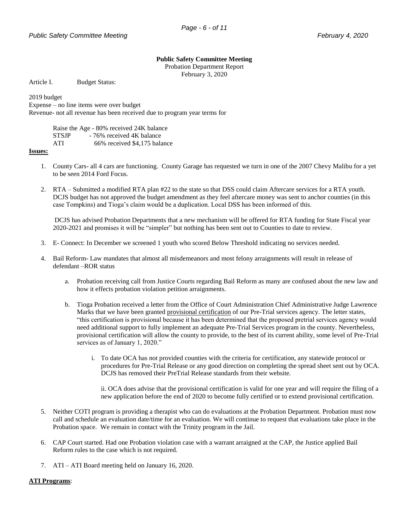#### **Public Safety Committee Meeting**

Probation Department Report February 3, 2020

Article I. Budget Status:

2019 budget

Expense – no line items were over budget

Revenue- not all revenue has been received due to program year terms for

Raise the Age - 80% received 24K balance STSJP - 76% received 4K balance ATI 66% received \$4,175 balance

#### **Issues:**

- 1. County Cars- all 4 cars are functioning. County Garage has requested we turn in one of the 2007 Chevy Malibu for a yet to be seen 2014 Ford Focus.
- 2. RTA Submitted a modified RTA plan #22 to the state so that DSS could claim Aftercare services for a RTA youth. DCJS budget has not approved the budget amendment as they feel aftercare money was sent to anchor counties (in this case Tompkins) and Tioga's claim would be a duplication. Local DSS has been informed of this.

DCJS has advised Probation Departments that a new mechanism will be offered for RTA funding for State Fiscal year 2020-2021 and promises it will be "simpler" but nothing has been sent out to Counties to date to review.

- 3. E- Connect: In December we screened 1 youth who scored Below Threshold indicating no services needed.
- 4. Bail Reform- Law mandates that almost all misdemeanors and most felony arraignments will result in release of defendant –ROR status
	- a. Probation receiving call from Justice Courts regarding Bail Reform as many are confused about the new law and how it effects probation violation petition arraignments.
	- b. Tioga Probation received a letter from the Office of Court Administration Chief Administrative Judge Lawrence Marks that we have been granted provisional certification of our Pre-Trial services agency. The letter states, "this certification is provisional because it has been determined that the proposed pretrial services agency would need additional support to fully implement an adequate Pre-Trial Services program in the county. Nevertheless, provisional certification will allow the county to provide, to the best of its current ability, some level of Pre-Trial services as of January 1, 2020."
		- i. To date OCA has not provided counties with the criteria for certification, any statewide protocol or procedures for Pre-Trial Release or any good direction on completing the spread sheet sent out by OCA. DCJS has removed their PreTrial Release standards from their website.

ii. OCA does advise that the provisional certification is valid for one year and will require the filing of a new application before the end of 2020 to become fully certified or to extend provisional certification.

- 5. Neither COTI program is providing a therapist who can do evaluations at the Probation Department. Probation must now call and schedule an evaluation date/time for an evaluation. We will continue to request that evaluations take place in the Probation space. We remain in contact with the Trinity program in the Jail.
- 6. CAP Court started. Had one Probation violation case with a warrant arraigned at the CAP, the Justice applied Bail Reform rules to the case which is not required.
- 7. ATI ATI Board meeting held on January 16, 2020.

## **ATI Programs**: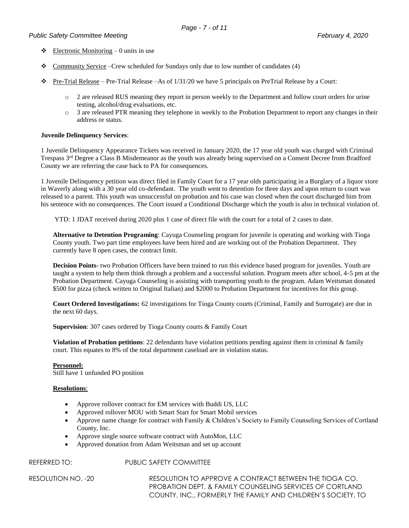# *Public Safety Committee Meeting February 4, 2020*

- $\triangleleft$  Electronic Monitoring 0 units in use
- \* Community Service –Crew scheduled for Sundays only due to low number of candidates (4)
- $\bullet$  Pre-Trial Release Pre-Trial Release –As of 1/31/20 we have 5 principals on PreTrial Release by a Court:
	- o 2 are released RUS meaning they report in person weekly to the Department and follow court orders for urine testing, alcohol/drug evaluations, etc.
	- o 3 are released PTR meaning they telephone in weekly to the Probation Department to report any changes in their address or status.

## **Juvenile Delinquency Services**:

1 Juvenile Delinquency Appearance Tickets was received in January 2020, the 17 year old youth was charged with Criminal Trespass 3<sup>rd</sup> Degree a Class B Misdemeanor as the youth was already being supervised on a Consent Decree from Bradford County we are referring the case back to PA for consequences.

1 Juvenile Delinquency petition was direct filed in Family Court for a 17 year olds participating in a Burglary of a liquor store in Waverly along with a 30 year old co-defendant. The youth went to detention for three days and upon return to court was released to a parent. This youth was unsuccessful on probation and his case was closed when the court discharged him from his sentence with no consequences. The Court issued a Conditional Discharge which the youth is also in technical violation of.

YTD: 1 JDAT received during 2020 plus 1 case of direct file with the court for a total of 2 cases to date.

**Alternative to Detention Programing**: Cayuga Counseling program for juvenile is operating and working with Tioga County youth. Two part time employees have been hired and are working out of the Probation Department. They currently have 8 open cases, the contract limit.

**Decision Points**- two Probation Officers have been trained to run this evidence based program for juveniles. Youth are taught a system to help them think through a problem and a successful solution. Program meets after school, 4-5 pm at the Probation Department. Cayuga Counseling is assisting with transporting youth to the program. Adam Weitsman donated \$500 for pizza (check written to Original Italian) and \$2000 to Probation Department for incentives for this group.

**Court Ordered Investigations:** 62 investigations for Tioga County courts (Criminal, Family and Surrogate) are due in the next 60 days.

**Supervision**: 307 cases ordered by Tioga County courts & Family Court

**Violation of Probation petitions**: 22 defendants have violation petitions pending against them in criminal & family court. This equates to 8% of the total department caseload are in violation status.

## **Personnel:**

Still have 1 unfunded PO position

## **Resolutions**:

- Approve rollover contract for EM services with Buddi US, LLC
- Approved rollover MOU with Smart Start for Smart Mobil services
- Approve name change for contract with Family & Children's Society to Family Counseling Services of Cortland County, Inc.
- Approve single source software contract with AutoMon, LLC
- Approved donation from Adam Weitsman and set up account

REFERRED TO: PUBLIC SAFETY COMMITTEE

RESOLUTION NO. -20 RESOLUTION TO APPROVE A CONTRACT BETWEEN THE TIOGA CO. PROBATION DEPT. & FAMILY COUNSELING SERVICES OF CORTLAND COUNTY, INC., FORMERLY THE FAMILY AND CHILDREN'S SOCIETY, TO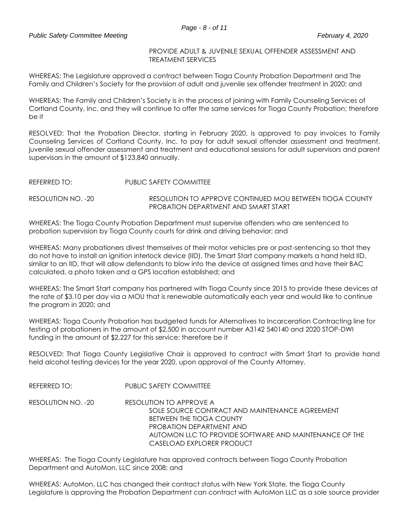# PROVIDE ADULT & JUVENILE SEXUAL OFFENDER ASSESSMENT AND TREATMENT SERVICES

WHEREAS: The Legislature approved a contract between Tioga County Probation Department and The Family and Children's Society for the provision of adult and juvenile sex offender treatment in 2020; and

WHEREAS: The Family and Children's Society is in the process of joining with Family Counseling Services of Cortland County, Inc. and they will continue to offer the same services for Tioga County Probation; therefore be it

RESOLVED: That the Probation Director, starting in February 2020, is approved to pay invoices to Family Counseling Services of Cortland County, Inc. to pay for adult sexual offender assessment and treatment, juvenile sexual offender assessment and treatment and educational sessions for adult supervisors and parent supervisors in the amount of \$123,840 annually.

| REFERRED TO: I     | PUBLIC SAFETY COMMITTEE                                  |
|--------------------|----------------------------------------------------------|
| RESOLUTION NO. -20 | RESOLUTION TO APPROVE CONTINUED MOU BETWEEN TIOGA COUNTY |
|                    | PROBATION DEPARTMENT AND SMART START                     |

WHEREAS: The Tioga County Probation Department must supervise offenders who are sentenced to probation supervision by Tioga County courts for drink and driving behavior; and

WHEREAS: Many probationers divest themselves of their motor vehicles pre or post-sentencing so that they do not have to install an ignition interlock device (IID). The Smart Start company markets a hand held IID, similar to an IID, that will allow defendants to blow into the device at assigned times and have their BAC calculated, a photo taken and a GPS location established; and

WHEREAS: The Smart Start company has partnered with Tioga County since 2015 to provide these devices at the rate of \$3.10 per day via a MOU that is renewable automatically each year and would like to continue the program in 2020; and

WHEREAS: Tioga County Probation has budgeted funds for Alternatives to Incarceration Contracting line for testing of probationers in the amount of \$2,500 in account number A3142 540140 and 2020 STOP-DWI funding in the amount of \$2,227 for this service; therefore be it

RESOLVED: That Tioga County Legislative Chair is approved to contract with Smart Start to provide hand held alcohol testing devices for the year 2020, upon approval of the County Attorney.

REFERRED TO: PUBLIC SAFETY COMMITTEE

RESOLUTION NO. -20 RESOLUTION TO APPROVE A SOLE SOURCE CONTRACT AND MAINTENANCE AGREEMENT BETWEEN THE TIOGA COUNTY PROBATION DEPARTMENT AND AUTOMON LLC TO PROVIDE SOFTWARE AND MAINTENANCE OF THE CASELOAD EXPLORER PRODUCT

WHEREAS: The Tioga County Legislature has approved contracts between Tioga County Probation Department and AutoMon, LLC since 2008; and

WHEREAS: AutoMon, LLC has changed their contract status with New York State, the Tioga County Legislature is approving the Probation Department can contract with AutoMon LLC as a sole source provider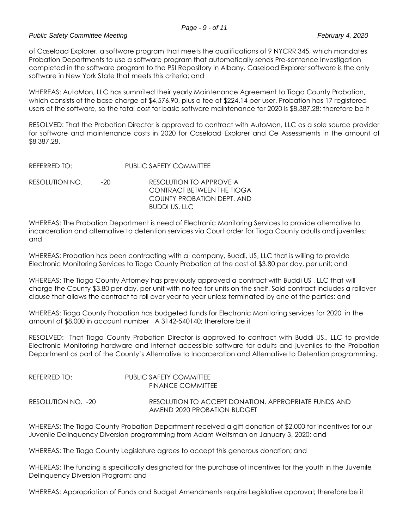# *Public Safety Committee Meeting February 4, 2020*

of Caseload Explorer, a software program that meets the qualifications of 9 NYCRR 345, which mandates Probation Departments to use a software program that automatically sends Pre-sentence Investigation completed in the software program to the PSI Repository in Albany. Caseload Explorer software is the only software in New York State that meets this criteria; and

WHEREAS: AutoMon, LLC has summited their yearly Maintenance Agreement to Tioga County Probation, which consists of the base charge of \$4,576.90, plus a fee of \$224.14 per user. Probation has 17 registered users of the software, so the total cost for basic software maintenance for 2020 is \$8,387.28; therefore be it

RESOLVED: That the Probation Director is approved to contract with AutoMon, LLC as a sole source provider for software and maintenance costs in 2020 for Caseload Explorer and Ce Assessments in the amount of \$8,387.28.

| RFFERFDDTO:    |       | PUBLIC SAFETY COMMITTEE                                                                                            |
|----------------|-------|--------------------------------------------------------------------------------------------------------------------|
| RESOLUTION NO. | $-20$ | RESOLUTION TO APPROVE A<br><b>CONTRACT BETWEEN THE TIOGA</b><br>COUNTY PROBATION DEPT. AND<br><b>BUDDI US, LLC</b> |

WHEREAS: The Probation Department is need of Electronic Monitoring Services to provide alternative to incarceration and alternative to detention services via Court order for Tioga County adults and juveniles; and

WHEREAS: Probation has been contracting with a company, Buddi, US, LLC that is willing to provide Electronic Monitoring Services to Tioga County Probation at the cost of \$3.80 per day, per unit; and

WHEREAS: The Tioga County Attorney has previously approved a contract with Buddi US , LLC that will charge the County \$3.80 per day, per unit with no fee for units on the shelf. Said contract includes a rollover clause that allows the contract to roll over year to year unless terminated by one of the parties; and

WHEREAS: Tioga County Probation has budgeted funds for Electronic Monitoring services for 2020 in the amount of \$8,000 in account number A 3142-540140; therefore be it

RESOLVED: That Tioga County Probation Director is approved to contract with Buddi US., LLC to provide Electronic Monitoring hardware and internet accessible software for adults and juveniles to the Probation Department as part of the County's Alternative to Incarceration and Alternative to Detention programming.

| REFERRED TO:       | PUBLIC SAFETY COMMITTEE<br>FINANCE COMMITTFF                                        |
|--------------------|-------------------------------------------------------------------------------------|
|                    |                                                                                     |
| RESOLUTION NO. -20 | RESOLUTION TO ACCEPT DONATION, APPROPRIATE FUNDS AND<br>AMEND 2020 PROBATION BUDGET |

WHEREAS: The Tioga County Probation Department received a gift donation of \$2,000 for incentives for our Juvenile Delinquency Diversion programming from Adam Weitsman on January 3, 2020; and

WHEREAS: The Tioga County Legislature agrees to accept this generous donation; and

WHEREAS: The funding is specifically designated for the purchase of incentives for the youth in the Juvenile Delinquency Diversion Program; and

WHEREAS: Appropriation of Funds and Budget Amendments require Legislative approval; therefore be it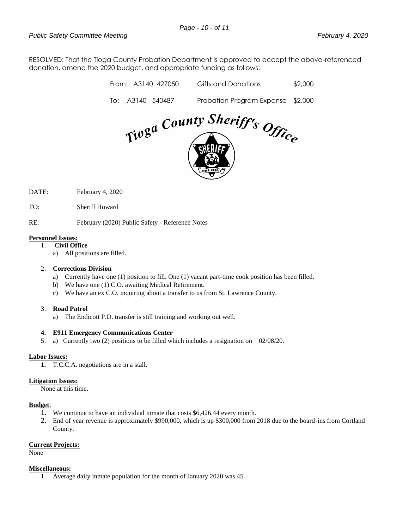RESOLVED: That the Tioga County Probation Department is approved to accept the above-referenced donation, amend the 2020 budget, and appropriate funding as follows:

| Tioga County Sheriff's Office |  |                    |                                   |         |  |  |  |
|-------------------------------|--|--------------------|-----------------------------------|---------|--|--|--|
| To:                           |  | A3140 540487       | Probation Program Expense \$2,000 |         |  |  |  |
|                               |  | From: A3140 427050 | Gifts and Donations               | \$2,000 |  |  |  |

- DATE: February 4, 2020
- TO: Sheriff Howard

RE: February (2020) Public Safety - Reference Notes

#### **Personnel Issues:**

- 1. **Civil Office**
	- a) All positions are filled.

## 2. **Corrections Division**

- a) Currently have one (1) position to fill. One (1) vacant part-time cook position has been filled.
- b) We have one (1) C.O. awaiting Medical Retirement.
- c) We have an ex C.O. inquiring about a transfer to us from St. Lawrence County.

#### 3. **Road Patrol**

a) The Endicott P.D. transfer is still training and working out well.

## **4. E911 Emergency Communications Center**

5. a)Currently two (2) positions to be filled which includes a resignation on 02/08/20.

## **Labor Issues:**

**1.** T.C.C.A. negotiations are in a stall.

# **Litigation Issues:**

None at this time.

## **Budget**:

- 1. We continue to have an individual inmate that costs \$6,426.44 every month.
- 2. End of year revenue is approximately \$990,000, which is up \$300,000 from 2018 due to the board-ins from Cortland County.

#### **Current Projects:**

None

### **Miscellaneous:**

1. Average daily inmate population for the month of January 2020 was 45.